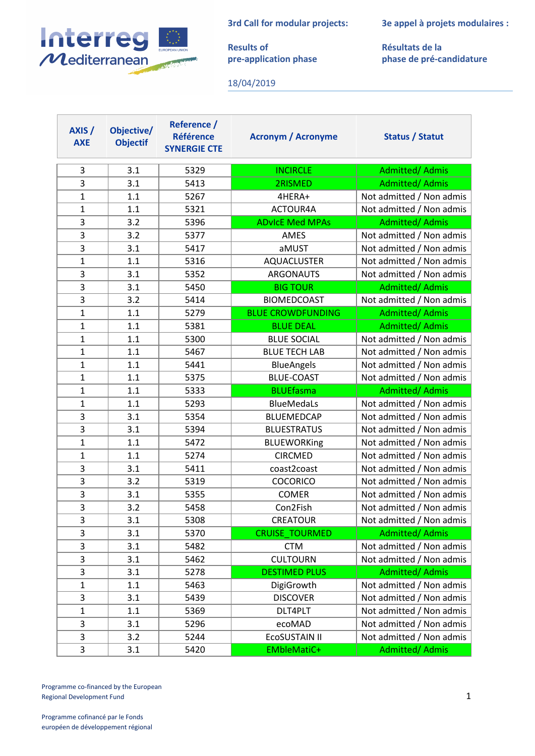**3rd Call for modular projects:**



**Results of pre-application phase** **3e appel à projets modulaires :**

**Résultats de la phase de pré-candidature**

18/04/2019

| AXIS /<br><b>AXE</b> | Objective/<br><b>Objectif</b> | Reference /<br><b>Référence</b><br><b>SYNERGIE CTE</b> | <b>Acronym / Acronyme</b> | Status / Statut          |
|----------------------|-------------------------------|--------------------------------------------------------|---------------------------|--------------------------|
| 3                    | 3.1                           | 5329                                                   | <b>INCIRCLE</b>           | <b>Admitted/ Admis</b>   |
| 3                    | 3.1                           | 5413                                                   | 2RISMED                   | <b>Admitted/ Admis</b>   |
| $\mathbf{1}$         | 1.1                           | 5267                                                   | 4HERA+                    | Not admitted / Non admis |
| $\mathbf{1}$         | 1.1                           | 5321                                                   | ACTOUR4A                  | Not admitted / Non admis |
| 3                    | 3.2                           | 5396                                                   | <b>ADvicE Med MPAs</b>    | <b>Admitted/ Admis</b>   |
| 3                    | 3.2                           | 5377                                                   | AMES                      | Not admitted / Non admis |
| 3                    | 3.1                           | 5417                                                   | aMUST                     | Not admitted / Non admis |
| $\mathbf{1}$         | 1.1                           | 5316                                                   | <b>AQUACLUSTER</b>        | Not admitted / Non admis |
| 3                    | 3.1                           | 5352                                                   | <b>ARGONAUTS</b>          | Not admitted / Non admis |
| 3                    | 3.1                           | 5450                                                   | <b>BIG TOUR</b>           | <b>Admitted/ Admis</b>   |
| 3                    | 3.2                           | 5414                                                   | <b>BIOMEDCOAST</b>        | Not admitted / Non admis |
| $\mathbf{1}$         | 1.1                           | 5279                                                   | <b>BLUE CROWDFUNDING</b>  | Admitted/ Admis          |
| $\mathbf{1}$         | 1.1                           | 5381                                                   | <b>BLUE DEAL</b>          | <b>Admitted/ Admis</b>   |
| $\mathbf{1}$         | 1.1                           | 5300                                                   | <b>BLUE SOCIAL</b>        | Not admitted / Non admis |
| $\mathbf{1}$         | 1.1                           | 5467                                                   | <b>BLUE TECH LAB</b>      | Not admitted / Non admis |
| $\mathbf{1}$         | 1.1                           | 5441                                                   | <b>BlueAngels</b>         | Not admitted / Non admis |
| $\mathbf{1}$         | 1.1                           | 5375                                                   | <b>BLUE-COAST</b>         | Not admitted / Non admis |
| $\mathbf{1}$         | 1.1                           | 5333                                                   | <b>BLUEfasma</b>          | <b>Admitted/ Admis</b>   |
|                      |                               |                                                        |                           |                          |
| $\mathbf{1}$         | 1.1                           | 5293                                                   | <b>BlueMedaLs</b>         | Not admitted / Non admis |
| 3                    | 3.1                           | 5354                                                   | <b>BLUEMEDCAP</b>         | Not admitted / Non admis |
| 3                    | 3.1                           | 5394                                                   | <b>BLUESTRATUS</b>        | Not admitted / Non admis |
| 1                    | 1.1                           | 5472                                                   | <b>BLUEWORKing</b>        | Not admitted / Non admis |
| $\mathbf{1}$         | 1.1                           | 5274                                                   | <b>CIRCMED</b>            | Not admitted / Non admis |
| 3                    | 3.1                           | 5411                                                   | coast2coast               | Not admitted / Non admis |
| 3                    | 3.2                           | 5319                                                   | <b>COCORICO</b>           | Not admitted / Non admis |
| 3                    | 3.1                           | 5355                                                   | COMER                     | Not admitted / Non admis |
| 3                    | 3.2                           | 5458                                                   | Con2Fish                  | Not admitted / Non admis |
| 3                    | 3.1                           | 5308                                                   | <b>CREATOUR</b>           | Not admitted / Non admis |
| 3                    | 3.1                           | 5370                                                   | <b>CRUISE TOURMED</b>     | <b>Admitted/ Admis</b>   |
| 3                    | 3.1                           | 5482                                                   | <b>CTM</b>                | Not admitted / Non admis |
| 3                    | 3.1                           | 5462                                                   | <b>CULTOURN</b>           | Not admitted / Non admis |
| 3                    | 3.1                           | 5278                                                   | <b>DESTIMED PLUS</b>      | <b>Admitted/ Admis</b>   |
| $\mathbf{1}$         | 1.1                           | 5463                                                   | DigiGrowth                | Not admitted / Non admis |
| 3                    | 3.1                           | 5439                                                   | <b>DISCOVER</b>           | Not admitted / Non admis |
| $\mathbf{1}$         | 1.1                           | 5369                                                   | DLT4PLT                   | Not admitted / Non admis |
| 3                    | 3.1                           | 5296                                                   | ecoMAD                    | Not admitted / Non admis |
| 3                    | 3.2                           | 5244                                                   | ECOSUSTAIN II             | Not admitted / Non admis |

Programme co-financed by the European Regional Development Fund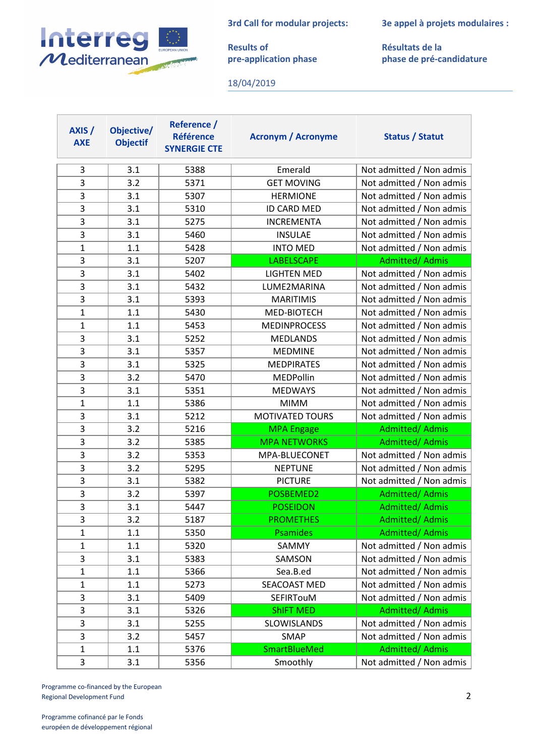**3rd Call for modular projects:**



**Results of pre-application phase** **3e appel à projets modulaires :**

**Résultats de la phase de pré-candidature**

18/04/2019

| AXIS /<br><b>AXE</b> | Objective/<br><b>Objectif</b> | Reference /<br><b>Référence</b><br><b>SYNERGIE CTE</b> | <b>Acronym / Acronyme</b> | Status / Statut          |
|----------------------|-------------------------------|--------------------------------------------------------|---------------------------|--------------------------|
| 3                    | 3.1                           | 5388                                                   | Emerald                   | Not admitted / Non admis |
| 3                    | 3.2                           | 5371                                                   | <b>GET MOVING</b>         | Not admitted / Non admis |
| 3                    | 3.1                           | 5307                                                   | <b>HERMIONE</b>           | Not admitted / Non admis |
| 3                    | 3.1                           | 5310                                                   | <b>ID CARD MED</b>        | Not admitted / Non admis |
| 3                    | 3.1                           | 5275                                                   | <b>INCREMENTA</b>         | Not admitted / Non admis |
| 3                    | 3.1                           | 5460                                                   | <b>INSULAE</b>            | Not admitted / Non admis |
| $\mathbf{1}$         | 1.1                           | 5428                                                   | <b>INTO MED</b>           | Not admitted / Non admis |
| 3                    | 3.1                           | 5207                                                   | <b>LABELSCAPE</b>         | <b>Admitted/ Admis</b>   |
| 3                    | 3.1                           | 5402                                                   | <b>LIGHTEN MED</b>        | Not admitted / Non admis |
| 3                    | 3.1                           | 5432                                                   | LUME2MARINA               | Not admitted / Non admis |
| 3                    | 3.1                           | 5393                                                   | <b>MARITIMIS</b>          | Not admitted / Non admis |
| $\mathbf{1}$         | 1.1                           | 5430                                                   | MED-BIOTECH               | Not admitted / Non admis |
| $\mathbf{1}$         | 1.1                           | 5453                                                   | <b>MEDINPROCESS</b>       | Not admitted / Non admis |
| 3                    | 3.1                           | 5252                                                   | <b>MEDLANDS</b>           | Not admitted / Non admis |
| 3                    | 3.1                           | 5357                                                   | <b>MEDMINE</b>            | Not admitted / Non admis |
| 3                    | 3.1                           | 5325                                                   | <b>MEDPIRATES</b>         | Not admitted / Non admis |
| 3                    | 3.2                           | 5470                                                   | MEDPollin                 | Not admitted / Non admis |
| 3                    | 3.1                           | 5351                                                   | <b>MEDWAYS</b>            | Not admitted / Non admis |
| $\mathbf{1}$         | 1.1                           | 5386                                                   | <b>MIMM</b>               | Not admitted / Non admis |
| 3                    | 3.1                           | 5212                                                   | <b>MOTIVATED TOURS</b>    | Not admitted / Non admis |
| 3                    | 3.2                           | 5216                                                   | <b>MPA Engage</b>         | <b>Admitted/ Admis</b>   |
| 3                    | 3.2                           | 5385                                                   | <b>MPA NETWORKS</b>       | Admitted/ Admis          |
| 3                    | 3.2                           | 5353                                                   | MPA-BLUECONET             | Not admitted / Non admis |
| 3                    | 3.2                           | 5295                                                   | <b>NEPTUNE</b>            | Not admitted / Non admis |
| 3                    | 3.1                           | 5382                                                   | <b>PICTURE</b>            | Not admitted / Non admis |
| 3                    | 3.2                           | 5397                                                   | POSBEMED2                 | <b>Admitted/ Admis</b>   |
| 3                    | 3.1                           | 5447                                                   | <b>POSEIDON</b>           | Admitted/ Admis          |
| $\overline{3}$       | 3.2                           | 5187                                                   | <b>PROMETHES</b>          | <b>Admitted/ Admis</b>   |
| $\mathbf{1}$         | 1.1                           | 5350                                                   | <b>Psamides</b>           | Admitted/Admis           |
| $\mathbf{1}$         | 1.1                           | 5320                                                   | SAMMY                     | Not admitted / Non admis |
| 3                    | 3.1                           | 5383                                                   | SAMSON                    | Not admitted / Non admis |
| $\mathbf{1}$         | 1.1                           | 5366                                                   | Sea.B.ed                  | Not admitted / Non admis |
| 1                    | 1.1                           | 5273                                                   | SEACOAST MED              | Not admitted / Non admis |
| 3                    | 3.1                           | 5409                                                   | SEFIRTouM                 | Not admitted / Non admis |
| 3                    | 3.1                           | 5326                                                   | <b>ShIFT MED</b>          | <b>Admitted/ Admis</b>   |
| 3                    | 3.1                           | 5255                                                   | SLOWISLANDS               | Not admitted / Non admis |
| 3                    | 3.2                           | 5457                                                   | SMAP                      | Not admitted / Non admis |
| $\mathbf{1}$         | 1.1                           | 5376                                                   | <b>SmartBlueMed</b>       | <b>Admitted/ Admis</b>   |
| 3                    | 3.1                           | 5356                                                   | Smoothly                  | Not admitted / Non admis |

Programme co-financed by the European Regional Development Fund